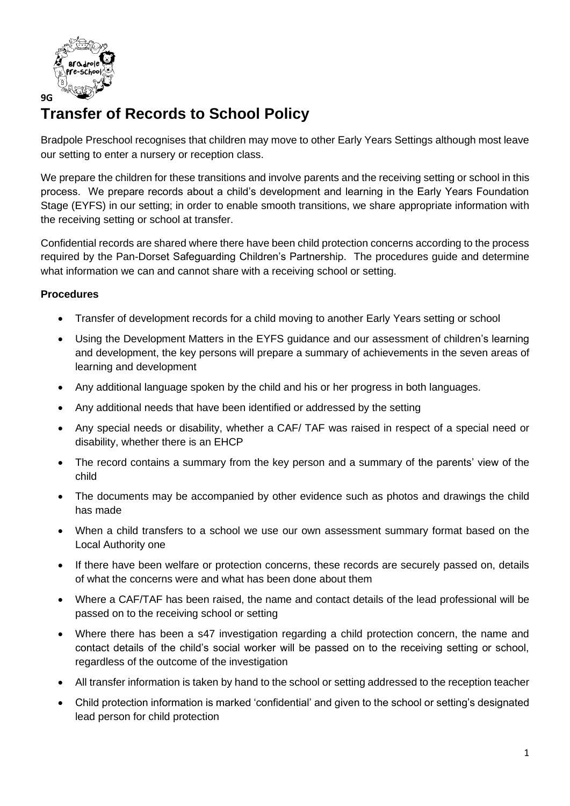

## **Transfer of Records to School Policy**

Bradpole Preschool recognises that children may move to other Early Years Settings although most leave our setting to enter a nursery or reception class.

We prepare the children for these transitions and involve parents and the receiving setting or school in this process. We prepare records about a child's development and learning in the Early Years Foundation Stage (EYFS) in our setting; in order to enable smooth transitions, we share appropriate information with the receiving setting or school at transfer.

Confidential records are shared where there have been child protection concerns according to the process required by the Pan-Dorset Safeguarding Children's Partnership. The procedures guide and determine what information we can and cannot share with a receiving school or setting.

## **Procedures**

- Transfer of development records for a child moving to another Early Years setting or school
- Using the Development Matters in the EYFS guidance and our assessment of children's learning and development, the key persons will prepare a summary of achievements in the seven areas of learning and development
- Any additional language spoken by the child and his or her progress in both languages.
- Any additional needs that have been identified or addressed by the setting
- Any special needs or disability, whether a CAF/ TAF was raised in respect of a special need or disability, whether there is an EHCP
- The record contains a summary from the key person and a summary of the parents' view of the child
- The documents may be accompanied by other evidence such as photos and drawings the child has made
- When a child transfers to a school we use our own assessment summary format based on the Local Authority one
- If there have been welfare or protection concerns, these records are securely passed on, details of what the concerns were and what has been done about them
- Where a CAF/TAF has been raised, the name and contact details of the lead professional will be passed on to the receiving school or setting
- Where there has been a s47 investigation regarding a child protection concern, the name and contact details of the child's social worker will be passed on to the receiving setting or school, regardless of the outcome of the investigation
- All transfer information is taken by hand to the school or setting addressed to the reception teacher
- Child protection information is marked 'confidential' and given to the school or setting's designated lead person for child protection